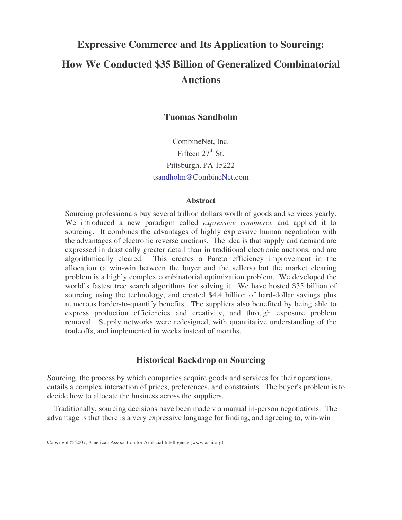# **Expressive Commerce and Its Application to Sourcing: How We Conducted \$35 Billion of Generalized Combinatorial Auctions**

#### **Tuomas Sandholm**

CombineNet, Inc. Fifteen  $27^{\text{th}}$  St. Pittsburgh, PA 15222 tsandholm@CombineNet.com

#### **Abstract**

Sourcing professionals buy several trillion dollars worth of goods and services yearly. We introduced a new paradigm called *expressive commerce* and applied it to sourcing. It combines the advantages of highly expressive human negotiation with the advantages of electronic reverse auctions. The idea is that supply and demand are expressed in drastically greater detail than in traditional electronic auctions, and are algorithmically cleared. This creates a Pareto efficiency improvement in the allocation (a win-win between the buyer and the sellers) but the market clearing problem is a highly complex combinatorial optimization problem. We developed the world's fastest tree search algorithms for solving it. We have hosted \$35 billion of sourcing using the technology, and created \$4.4 billion of hard-dollar savings plus numerous harder-to-quantify benefits. The suppliers also benefited by being able to express production efficiencies and creativity, and through exposure problem removal. Supply networks were redesigned, with quantitative understanding of the tradeoffs, and implemented in weeks instead of months.

#### **Historical Backdrop on Sourcing**

Sourcing, the process by which companies acquire goods and services for their operations, entails a complex interaction of prices, preferences, and constraints. The buyer's problem is to decide how to allocate the business across the suppliers.

Traditionally, sourcing decisions have been made via manual in-person negotiations. The advantage is that there is a very expressive language for finding, and agreeing to, win-win

Copyright © 2007, American Association for Artificial Intelligence (www.aaai.org).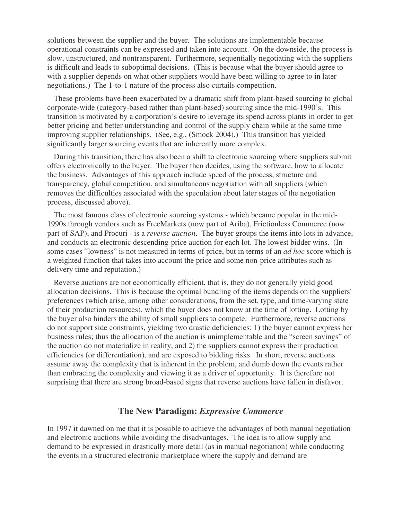solutions between the supplier and the buyer. The solutions are implementable because operational constraints can be expressed and taken into account. On the downside, the process is slow, unstructured, and nontransparent. Furthermore, sequentially negotiating with the suppliers is difficult and leads to suboptimal decisions. (This is because what the buyer should agree to with a supplier depends on what other suppliers would have been willing to agree to in later negotiations.) The 1-to-1 nature of the process also curtails competition.

These problems have been exacerbated by a dramatic shift from plant-based sourcing to global corporate-wide (category-based rather than plant-based) sourcing since the mid-1990's. This transition is motivated by a corporation's desire to leverage its spend across plants in order to get better pricing and better understanding and control of the supply chain while at the same time improving supplier relationships. (See, e.g., (Smock 2004).) This transition has yielded significantly larger sourcing events that are inherently more complex.

During this transition, there has also been a shift to electronic sourcing where suppliers submit offers electronically to the buyer. The buyer then decides, using the software, how to allocate the business. Advantages of this approach include speed of the process, structure and transparency, global competition, and simultaneous negotiation with all suppliers (which removes the difficulties associated with the speculation about later stages of the negotiation process, discussed above).

The most famous class of electronic sourcing systems - which became popular in the mid-1990s through vendors such as FreeMarkets (now part of Ariba), Frictionless Commerce (now part of SAP), and Procuri - is a *reverse auction*. The buyer groups the items into lots in advance, and conducts an electronic descending-price auction for each lot. The lowest bidder wins. (In some cases "lowness" is not measured in terms of price, but in terms of an *ad hoc* score which is a weighted function that takes into account the price and some non-price attributes such as delivery time and reputation.)

Reverse auctions are not economically efficient, that is, they do not generally yield good allocation decisions. This is because the optimal bundling of the items depends on the suppliers' preferences (which arise, among other considerations, from the set, type, and time-varying state of their production resources), which the buyer does not know at the time of lotting. Lotting by the buyer also hinders the ability of small suppliers to compete. Furthermore, reverse auctions do not support side constraints, yielding two drastic deficiencies: 1) the buyer cannot express her business rules; thus the allocation of the auction is unimplementable and the "screen savings" of the auction do not materialize in reality, and 2) the suppliers cannot express their production efficiencies (or differentiation), and are exposed to bidding risks. In short, reverse auctions assume away the complexity that is inherent in the problem, and dumb down the events rather than embracing the complexity and viewing it as a driver of opportunity. It is therefore not surprising that there are strong broad-based signs that reverse auctions have fallen in disfavor.

#### **The New Paradigm:** *Expressive Commerce*

In 1997 it dawned on me that it is possible to achieve the advantages of both manual negotiation and electronic auctions while avoiding the disadvantages. The idea is to allow supply and demand to be expressed in drastically more detail (as in manual negotiation) while conducting the events in a structured electronic marketplace where the supply and demand are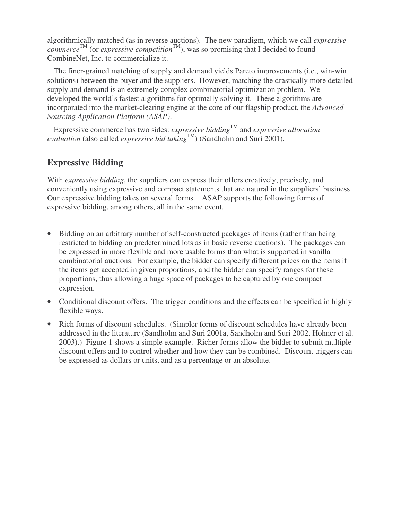algorithmically matched (as in reverse auctions). The new paradigm, which we call *expressive*  $\overline{c}$ *commerce*<sup>TM</sup> (or *expressive competition*<sup>TM</sup>), was so promising that I decided to found CombineNet, Inc. to commercialize it.

The finer-grained matching of supply and demand yields Pareto improvements (i.e., win-win solutions) between the buyer and the suppliers. However, matching the drastically more detailed supply and demand is an extremely complex combinatorial optimization problem. We developed the world's fastest algorithms for optimally solving it. These algorithms are incorporated into the market-clearing engine at the core of our flagship product, the *Advanced Sourcing Application Platform (ASAP)*.

Expressive commerce has two sides: *expressive bidding* TM and *expressive allocation evaluation* (also called *expressive bid taking* TM ) (Sandholm and Suri 2001).

# **Expressive Bidding**

With *expressive bidding*, the suppliers can express their offers creatively, precisely, and conveniently using expressive and compact statements that are natural in the suppliers' business. Our expressive bidding takes on several forms. ASAP supports the following forms of expressive bidding, among others, all in the same event.

- Bidding on an arbitrary number of self-constructed packages of items (rather than being restricted to bidding on predetermined lots as in basic reverse auctions). The packages can be expressed in more flexible and more usable forms than what is supported in vanilla combinatorial auctions. For example, the bidder can specify different prices on the items if the items get accepted in given proportions, and the bidder can specify ranges for these proportions, thus allowing a huge space of packages to be captured by one compact expression.
- Conditional discount offers. The trigger conditions and the effects can be specified in highly flexible ways.
- Rich forms of discount schedules. (Simpler forms of discount schedules have already been addressed in the literature (Sandholm and Suri 2001a, Sandholm and Suri 2002, Hohner et al. 2003).) Figure 1 shows a simple example. Richer forms allow the bidder to submit multiple discount offers and to control whether and how they can be combined. Discount triggers can be expressed as dollars or units, and as a percentage or an absolute.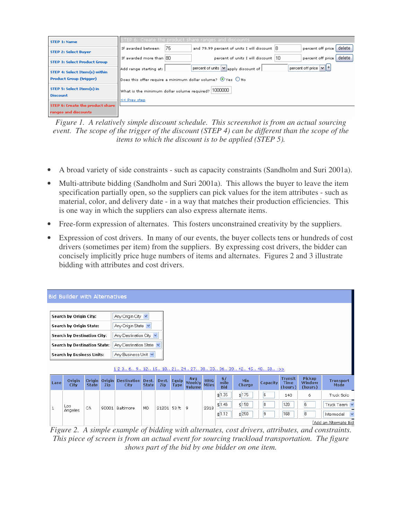| <b>STEP 1: Name</b>                          | STEP 6: Create the product share ranges and discounts                         |    |                                                                    |  |                   |        |  |  |  |
|----------------------------------------------|-------------------------------------------------------------------------------|----|--------------------------------------------------------------------|--|-------------------|--------|--|--|--|
| <b>STEP 2: Select Buyer</b>                  | If awarded between                                                            | 75 | and 79.99 percent of units I will discount 8                       |  | percent off price | delete |  |  |  |
|                                              | If awarded more than RO                                                       |    | percent of units I will discount 10                                |  | percent off price | delete |  |  |  |
| <b>STEP 3: Select Product Group</b>          |                                                                               |    |                                                                    |  |                   |        |  |  |  |
|                                              |                                                                               |    | percent of units $ \mathbf{\nu} _{\mathsf{apply}}$ discount of $ $ |  | percent off price |        |  |  |  |
| STEP 4: Select Item(s) within                | Add range starting at:                                                        |    |                                                                    |  |                   |        |  |  |  |
| <b>Product Group (trigger)</b>               | Does this offer require a minimum dollar volume? $\bigcirc$ Yes $\bigcirc$ No |    |                                                                    |  |                   |        |  |  |  |
| STEP 5: Select Item(s) in<br><b>Discount</b> | 1000000<br>What is the minimum dollar volume required?                        |    |                                                                    |  |                   |        |  |  |  |
|                                              | $\ll$ Prev step                                                               |    |                                                                    |  |                   |        |  |  |  |
| STEP 6: Create the product share             |                                                                               |    |                                                                    |  |                   |        |  |  |  |
| ranges and discounts                         |                                                                               |    |                                                                    |  |                   |        |  |  |  |

*Figure 1. A relatively simple discount schedule. This screenshot is from an actual sourcing* event. The scope of the trigger of the discount (STEP 4) can be different than the scope of the *items to which the discount is to be applied (STEP 5).*

- A broad variety of side constraints such as capacity constraints (Sandholm and Suri 2001a).
- Multi-attribute bidding (Sandholm and Suri 2001a). This allows the buyer to leave the item specification partially open, so the suppliers can pick values for the item attributes - such as material, color, and delivery date - in a way that matches their production efficiencies. This is one way in which the suppliers can also express alternate items.
- Free-form expression of alternates. This fosters unconstrained creativity by the suppliers.
- Expression of cost drivers. In many of our events, the buyer collects tens or hundreds of cost drivers (sometimes per item) from the suppliers. By expressing cost drivers, the bidder can concisely implicitly price huge numbers of items and alternates. Figures 2 and 3 illustrate bidding with attributes and cost drivers.

|              | <b>Bid Builder with Alternatives</b>                                                      |              |       |                                          |                       |               |               |                         |                     |                                    |                |                 |                                          |                                    |                            |
|--------------|-------------------------------------------------------------------------------------------|--------------|-------|------------------------------------------|-----------------------|---------------|---------------|-------------------------|---------------------|------------------------------------|----------------|-----------------|------------------------------------------|------------------------------------|----------------------------|
|              |                                                                                           |              |       |                                          |                       |               |               |                         |                     |                                    |                |                 |                                          |                                    |                            |
|              | Search by Origin City:                                                                    |              |       | Any Origin City                          |                       |               |               |                         |                     |                                    |                |                 |                                          |                                    |                            |
|              | Search by Origin State:                                                                   |              |       | Any Origin State                         |                       |               |               |                         |                     |                                    |                |                 |                                          |                                    |                            |
|              | <b>Search by Destination City:</b>                                                        |              |       | Any Destination City                     |                       |               |               |                         |                     |                                    |                |                 |                                          |                                    |                            |
|              | <b>Search by Destination State:</b>                                                       |              |       | Any Destination State v                  |                       |               |               |                         |                     |                                    |                |                 |                                          |                                    |                            |
|              | <b>Search by Business Units:</b>                                                          |              |       | Any Business Unit                        |                       |               |               |                         |                     |                                    |                |                 |                                          |                                    |                            |
|              |                                                                                           |              |       |                                          |                       |               |               |                         |                     |                                    |                |                 |                                          |                                    |                            |
|              | 1 2 3., 6., 9., 12., 15., 18., 21., 24., 27., 30., 33., 36., 39., 42., 45., 48., 50., ->> |              |       |                                          |                       |               |               |                         |                     |                                    |                |                 |                                          |                                    |                            |
| Lane         | Origin<br>City                                                                            | <b>State</b> | Zip   | <b>Origin Origin Destination</b><br>City | Dest.<br><b>State</b> | Dest.<br>Zip  | Equip<br>Type | Avg<br>Weekly<br>Volume | HHG<br><b>Miles</b> | $$ /_{\text{mile}}$$<br><b>Bid</b> | Min.<br>Charge | <b>Capacity</b> | <b>Transit</b><br><b>Time</b><br>(hours) | <b>Pickup</b><br>Window<br>(hours) | <b>Transport</b><br>Mode   |
|              |                                                                                           |              |       |                                          |                       |               |               |                         |                     | \$1.35                             | \$175          | 6               | 140                                      | 6                                  | Truck Solo                 |
| $\mathbf{1}$ | Los                                                                                       | CA           | 90001 | Baltimore                                | <b>MD</b>             | $21201$ 53 ft |               | 9                       | 2318                | \$1.46                             | \$150          | 8               | 120                                      | ĥ                                  | Truck Team                 |
|              | Angeles                                                                                   |              |       |                                          |                       |               |               |                         |                     | \$1.12                             | \$250          | 9               | 168                                      | l8.                                | $\checkmark$<br>Intermodal |
|              |                                                                                           |              |       |                                          |                       |               |               |                         |                     |                                    |                |                 |                                          |                                    | [Add an Alternate Bid      |

*Figure 2. A simple example of bidding with alternates, cost drivers, attributes, and constraints. This piece of screen is from an actual event for sourcing truckload transportation. The figure shows part of the bid by one bidder on one item.*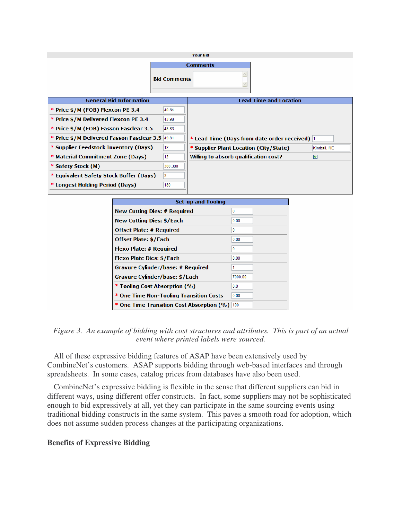| <b>Your Bid</b>                                  |                     |                                               |             |  |  |  |
|--------------------------------------------------|---------------------|-----------------------------------------------|-------------|--|--|--|
|                                                  |                     | <b>Comments</b>                               |             |  |  |  |
|                                                  | <b>Bid Comments</b> |                                               |             |  |  |  |
| <b>General Bid Information</b>                   |                     | <b>Lead Time and Location</b>                 |             |  |  |  |
| * Price \$/M (FOB) Flexcon PE 3.4                | 40.84               |                                               |             |  |  |  |
| * Price \$/M Delivered Flexcon PE 3.4            | 43.98               |                                               |             |  |  |  |
| * Price \$/M (FOB) Fasson Fasclear 3.5           | 48.83               |                                               |             |  |  |  |
| * Price \$/M Delivered Fasson Fasclear 3.5 49.81 |                     | * Lead Time (Days from date order received) 1 |             |  |  |  |
| * Supplier Feedstock Inventory (Days)<br>12      |                     | * Supplier Plant Location (City/State)        | Kimball, NE |  |  |  |
| * Material Commitment Zone (Days)                | 12                  | Willing to absorb qualification cost?         | ☑           |  |  |  |
| * Safety Stock (M)                               | 300,300             |                                               |             |  |  |  |
| * Equivalent Safety Stock Buffer (Days)          | 3                   |                                               |             |  |  |  |
| * Longest Holding Period (Days)                  | 180                 |                                               |             |  |  |  |

| <b>Set-up and Tooling</b>                 |         |  |  |  |  |
|-------------------------------------------|---------|--|--|--|--|
| <b>New Cutting Dies: # Required</b>       | 0       |  |  |  |  |
| <b>New Cutting Dies: \$/Each</b>          | 0.00    |  |  |  |  |
| <b>Offset Plate: # Required</b>           | 0       |  |  |  |  |
| Offset Plate: \$/Each                     | 0.00    |  |  |  |  |
| Flexo Plate: # Required                   | 0       |  |  |  |  |
| <b>Flexo Plate Dies: \$/Each</b>          | 0.00    |  |  |  |  |
| Gravure Cylinder/base: # Required         | 1       |  |  |  |  |
| Gravure Cylinder/base: \$/Each            | 7000.00 |  |  |  |  |
| * Tooling Cost Absorption (%)             | 0.0     |  |  |  |  |
| * One Time Non-Tooling Transition Costs   | 0.00    |  |  |  |  |
| * One Time Transition Cost Absorption (%) | 100     |  |  |  |  |

*Figure 3. An example of bidding with cost structures and attributes. This is part of an actual event where printed labels were sourced.*

All of these expressive bidding features of ASAP have been extensively used by CombineNet's customers. ASAP supports bidding through web-based interfaces and through spreadsheets. In some cases, catalog prices from databases have also been used.

CombineNet's expressive bidding is flexible in the sense that different suppliers can bid in different ways, using different offer constructs. In fact, some suppliers may not be sophisticated enough to bid expressively at all, yet they can participate in the same sourcing events using traditional bidding constructs in the same system. This paves a smooth road for adoption, which does not assume sudden process changes at the participating organizations.

#### **Benefits of Expressive Bidding**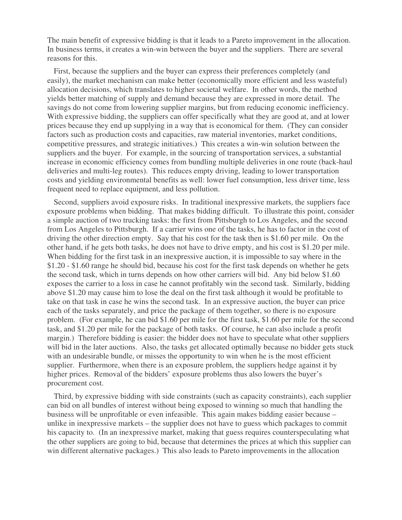The main benefit of expressive bidding is that it leads to a Pareto improvement in the allocation. In business terms, it creates a win-win between the buyer and the suppliers. There are several reasons for this.

First, because the suppliers and the buyer can express their preferences completely (and easily), the market mechanism can make better (economically more efficient and less wasteful) allocation decisions, which translates to higher societal welfare. In other words, the method yields better matching of supply and demand because they are expressed in more detail. The savings do not come from lowering supplier margins, but from reducing economic inefficiency. With expressive bidding, the suppliers can offer specifically what they are good at, and at lower prices because they end up supplying in a way that is economical for them. (They can consider factors such as production costs and capacities, raw material inventories, market conditions, competitive pressures, and strategic initiatives.) This creates a win-win solution between the suppliers and the buyer. For example, in the sourcing of transportation services, a substantial increase in economic efficiency comes from bundling multiple deliveries in one route (back-haul deliveries and multi-leg routes). This reduces empty driving, leading to lower transportation costs and yielding environmental benefits as well: lower fuel consumption, less driver time, less frequent need to replace equipment, and less pollution.

Second, suppliers avoid exposure risks. In traditional inexpressive markets, the suppliers face exposure problems when bidding. That makes bidding difficult. To illustrate this point, consider a simple auction of two trucking tasks: the first from Pittsburgh to Los Angeles, and the second from Los Angeles to Pittsburgh. If a carrier wins one of the tasks, he has to factor in the cost of driving the other direction empty. Say that his cost for the task then is \$1.60 per mile. On the other hand, if he gets both tasks, he does not have to drive empty, and his cost is \$1.20 per mile. When bidding for the first task in an inexpressive auction, it is impossible to say where in the \$1.20 - \$1.60 range he should bid, because his cost for the first task depends on whether he gets the second task, which in turns depends on how other carriers will bid. Any bid below \$1.60 exposes the carrier to a loss in case he cannot profitably win the second task. Similarly, bidding above \$1.20 may cause him to lose the deal on the first task although it would be profitable to take on that task in case he wins the second task. In an expressive auction, the buyer can price each of the tasks separately, and price the package of them together, so there is no exposure problem. (For example, he can bid \$1.60 per mile for the first task, \$1.60 per mile for the second task, and \$1.20 per mile for the package of both tasks. Of course, he can also include a profit margin.) Therefore bidding is easier: the bidder does not have to speculate what other suppliers will bid in the later auctions. Also, the tasks get allocated optimally because no bidder gets stuck with an undesirable bundle, or misses the opportunity to win when he is the most efficient supplier. Furthermore, when there is an exposure problem, the suppliers hedge against it by higher prices. Removal of the bidders' exposure problems thus also lowers the buyer's procurement cost.

Third, by expressive bidding with side constraints (such as capacity constraints), each supplier can bid on all bundles of interest without being exposed to winning so much that handling the business will be unprofitable or even infeasible. This again makes bidding easier because – unlike in inexpressive markets – the supplier does not have to guess which packages to commit his capacity to. (In an inexpressive market, making that guess requires counterspeculating what the other suppliers are going to bid, because that determines the prices at which this supplier can win different alternative packages.) This also leads to Pareto improvements in the allocation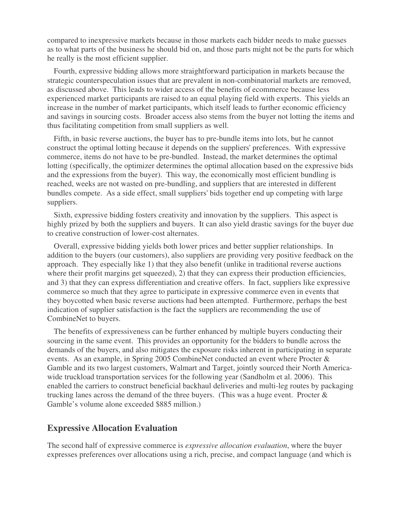compared to inexpressive markets because in those markets each bidder needs to make guesses as to what parts of the business he should bid on, and those parts might not be the parts for which he really is the most efficient supplier.

Fourth, expressive bidding allows more straightforward participation in markets because the strategic counterspeculation issues that are prevalent in non-combinatorial markets are removed, as discussed above. This leads to wider access of the benefits of ecommerce because less experienced market participants are raised to an equal playing field with experts. This yields an increase in the number of market participants, which itself leads to further economic efficiency and savings in sourcing costs. Broader access also stems from the buyer not lotting the items and thus facilitating competition from small suppliers as well.

Fifth, in basic reverse auctions, the buyer has to pre-bundle items into lots, but he cannot construct the optimal lotting because it depends on the suppliers'preferences. With expressive commerce, items do not have to be pre-bundled. Instead, the market determines the optimal lotting (specifically, the optimizer determines the optimal allocation based on the expressive bids and the expressions from the buyer). This way, the economically most efficient bundling is reached, weeks are not wasted on pre-bundling, and suppliers that are interested in different bundles compete. As a side effect, small suppliers'bids together end up competing with large suppliers.

Sixth, expressive bidding fosters creativity and innovation by the suppliers. This aspect is highly prized by both the suppliers and buyers. It can also yield drastic savings for the buyer due to creative construction of lower-cost alternates.

Overall, expressive bidding yields both lower prices and better supplier relationships. In addition to the buyers (our customers), also suppliers are providing very positive feedback on the approach. They especially like 1) that they also benefit (unlike in traditional reverse auctions where their profit margins get squeezed), 2) that they can express their production efficiencies, and 3) that they can express differentiation and creative offers. In fact, suppliers like expressive commerce so much that they agree to participate in expressive commerce even in events that they boycotted when basic reverse auctions had been attempted. Furthermore, perhaps the best indication of supplier satisfaction is the fact the suppliers are recommending the use of CombineNet to buyers.

The benefits of expressiveness can be further enhanced by multiple buyers conducting their sourcing in the same event. This provides an opportunity for the bidders to bundle across the demands of the buyers, and also mitigates the exposure risks inherent in participating in separate events. As an example, in Spring 2005 CombineNet conducted an event where Procter & Gamble and its two largest customers, Walmart and Target, jointly sourced their North Americawide truckload transportation services for the following year (Sandholm et al. 2006). This enabled the carriers to construct beneficial backhaul deliveries and multi-leg routes by packaging trucking lanes across the demand of the three buyers. (This was a huge event. Procter  $\&$ Gamble's volume alone exceeded \$885 million.)

#### **Expressive Allocation Evaluation**

The second half of expressive commerce is *expressive allocation evaluation*, where the buyer expresses preferences over allocations using a rich, precise, and compact language (and which is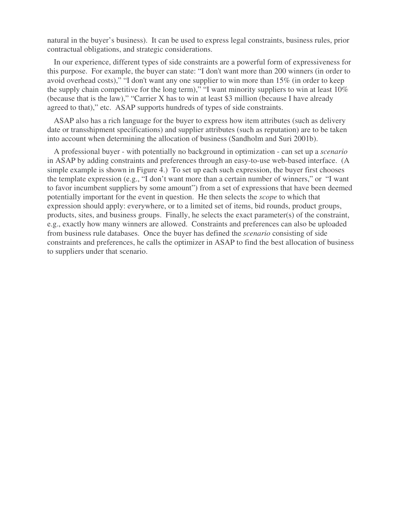natural in the buyer's business). It can be used to express legal constraints, business rules, prior contractual obligations, and strategic considerations.

In our experience, different types of side constraints are a powerful form of expressiveness for this purpose. For example, the buyer can state: "I don't want more than 200 winners (in order to avoid overhead costs)," "I don't want any one supplier to win more than 15% (in order to keep the supply chain competitive for the long term)," "I want minority suppliers to win at least 10% (because that is the law)," "Carrier X has to win at least \$3 million (because I have already agreed to that)," etc. ASAP supports hundreds of types of side constraints.

ASAP also has a rich language for the buyer to express how item attributes (such as delivery date or transshipment specifications) and supplier attributes (such as reputation) are to be taken into account when determining the allocation of business (Sandholm and Suri 2001b).

A professional buyer - with potentially no background in optimization - can set up a *scenario* in ASAP by adding constraints and preferences through an easy-to-use web-based interface. (A simple example is shown in Figure 4.) To set up each such expression, the buyer first chooses the template expression (e.g., "I don't want more than a certain number of winners," or "I want to favor incumbent suppliers by some amount") from a set of expressions that have been deemed potentially important for the event in question. He then selects the *scope* to which that expression should apply: everywhere, or to a limited set of items, bid rounds, product groups, products, sites, and business groups. Finally, he selects the exact parameter(s) of the constraint, e.g., exactly how many winners are allowed. Constraints and preferences can also be uploaded from business rule databases. Once the buyer has defined the *scenario* consisting of side constraints and preferences, he calls the optimizer in ASAP to find the best allocation of business to suppliers under that scenario.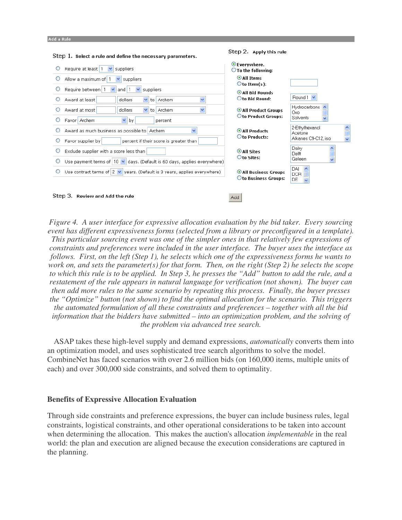| Step 1. Select a rule and define the necessary parameters.                                   | Step 2. Apply this rule                               |                                 |
|----------------------------------------------------------------------------------------------|-------------------------------------------------------|---------------------------------|
| Require at least 1<br>suppliers<br>$\checkmark$                                              | Everywhere.<br>$\bigcirc$ To the following:           |                                 |
| Allow a maximum of 1<br>$\vee$ suppliers                                                     | All Items                                             |                                 |
| Require between<br>and $\vert$ 1<br>suppliers<br>$\checkmark$                                | $\bigcirc$ to Item(s):<br>All Bid Rounds              |                                 |
| $\checkmark$<br>Award at least<br>$\checkmark$<br>dollars<br>Archem<br>  to                  | ◯ to Bid Round:                                       | Round $1 \vee$                  |
| $\checkmark$<br>$\checkmark$<br>Award at most<br>dollars<br>Archem<br>l to l                 | All Product Groups<br>◯ to Product Groups:            | Hydrocarbons ^<br>Охо           |
| $\vee$ by<br>Favor Archem<br>percent                                                         |                                                       | Solvents                        |
| $\checkmark$<br>Award as much business as possible to Archem                                 | All Products<br>$\bigcirc$ to Products:               | 2-Ethylhexanol<br>Acetone       |
| Favor supplier by<br>percent if their score is greater than                                  |                                                       | Alkanes C9-C12, iso             |
| Exclude supplier with a score less than<br>O                                                 | All Sites                                             | Dalry<br>$\frac{1}{2}$<br>Delft |
| Use payment terms of $ 10 \rangle$ days. (Default is 60 days, applies everywhere)<br>O       | $\bigcirc$ to Sites:                                  | Geleen                          |
| Use contract terms of $2 \vee \sqrt{ }$ years. (Default is 3 years, applies everywhere)<br>O | <b>O</b> All Business Groups<br>O to Business Groups: | DAI<br><b>DCR</b><br>DE         |
| Step 3. Review and Add the rule                                                              | Add                                                   |                                 |

*Figure 4. A user interface for expressive allocation evaluation by the bid taker. Every sourcing event has different expressiveness forms (selected from a library or preconfigured in a template). This particular sourcing event was one of the simpler ones in that relatively few expressions of constraints and preferences were included in the user interface. The buyer uses the interface as follows. First, on the left (Step 1), he selects which one of the expressiveness forms he wants to* work on, and sets the parameter(s) for that form. Then, on the right (Step 2) he selects the scope to which this rule is to be applied. In Step 3, he presses the "Add" button to add the rule, and a *restatement of the rule appears in natural language for verification (not shown). The buyer can then add more rules to the same scenario by repeating this process. Finally, the buyer presses the "Optimize" button (not shown) to find the optimal allocation for the scenario. This triggers the automated formulation of all these constraints and preferences – together with all the bid information that the bidders have submitted – into an optimization problem, and the solving of the problem via advanced tree search.*

ASAP takes these high-level supply and demand expressions, *automatically* converts them into an optimization model, and uses sophisticated tree search algorithms to solve the model. CombineNet has faced scenarios with over 2.6 million bids (on 160,000 items, multiple units of each) and over 300,000 side constraints, and solved them to optimality.

#### **Benefits of Expressive Allocation Evaluation**

**Add a Rule** 

Through side constraints and preference expressions, the buyer can include business rules, legal constraints, logistical constraints, and other operational considerations to be taken into account when determining the allocation. This makes the auction's allocation *implementable* in the real world: the plan and execution are aligned because the execution considerations are captured in the planning.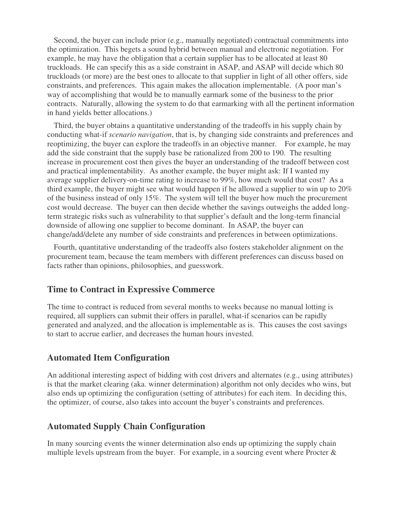Second, the buyer can include prior (e.g., manually negotiated) contractual commitments into the optimization. This begets a sound hybrid between manual and electronic negotiation. For example, he may have the obligation that a certain supplier has to be allocated at least 80 truckloads. He can specify this as a side constraint in ASAP, and ASAP will decide which 80 truckloads (or more) are the best ones to allocate to that supplier in light of all other offers, side constraints, and preferences. This again makes the allocation implementable. (A poor man's way of accomplishing that would be to manually earmark some of the business to the prior contracts. Naturally, allowing the system to do that earmarking with all the pertinent information in hand yields better allocations.)

Third, the buyer obtains a quantitative understanding of the tradeoffs in his supply chain by conducting what-if *scenario navigation*, that is, by changing side constraints and preferences and reoptimizing, the buyer can explore the tradeoffs in an objective manner. For example, he may add the side constraint that the supply base be rationalized from 200 to 190. The resulting increase in procurement cost then gives the buyer an understanding of the tradeoff between cost and practical implementability. As another example, the buyer might ask: If I wanted my average supplier delivery-on-time rating to increase to 99%, how much would that cost? As a third example, the buyer might see what would happen if he allowed a supplier to win up to 20% of the business instead of only 15%. The system will tell the buyer how much the procurement cost would decrease. The buyer can then decide whether the savings outweighs the added longterm strategic risks such as vulnerability to that supplier's default and the long-term financial downside of allowing one supplier to become dominant. In ASAP, the buyer can change/add/delete any number of side constraints and preferences in between optimizations.

Fourth, quantitative understanding of the tradeoffs also fosters stakeholder alignment on the procurement team, because the team members with different preferences can discuss based on facts rather than opinions, philosophies, and guesswork.

#### **Time to Contract in Expressive Commerce**

The time to contract is reduced from several months to weeks because no manual lotting is required, all suppliers can submit their offers in parallel, what-if scenarios can be rapidly generated and analyzed, and the allocation is implementable as is. This causes the cost savings to start to accrue earlier, and decreases the human hours invested.

#### **Automated Item Configuration**

An additional interesting aspect of bidding with cost drivers and alternates (e.g., using attributes) is that the market clearing (aka. winner determination) algorithm not only decides who wins, but also ends up optimizing the configuration (setting of attributes) for each item. In deciding this, the optimizer, of course, also takes into account the buyer's constraints and preferences.

#### **Automated Supply Chain Configuration**

In many sourcing events the winner determination also ends up optimizing the supply chain multiple levels upstream from the buyer. For example, in a sourcing event where Procter  $\&$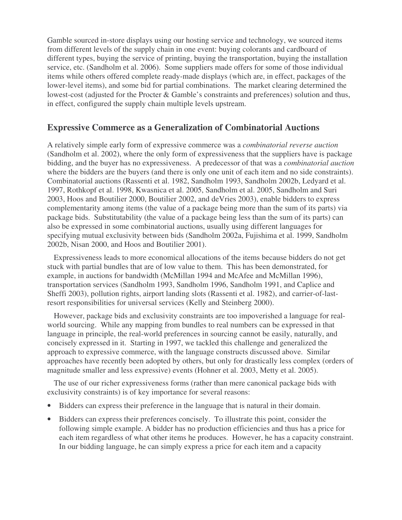Gamble sourced in-store displays using our hosting service and technology, we sourced items from different levels of the supply chain in one event: buying colorants and cardboard of different types, buying the service of printing, buying the transportation, buying the installation service, etc. (Sandholm et al. 2006). Some suppliers made offers for some of those individual items while others offered complete ready-made displays (which are, in effect, packages of the lower-level items), and some bid for partial combinations. The market clearing determined the lowest-cost (adjusted for the Procter & Gamble's constraints and preferences) solution and thus, in effect, configured the supply chain multiple levels upstream.

### **Expressive Commerce as a Generalization of Combinatorial Auctions**

A relatively simple early form of expressive commerce was a *combinatorial reverse auction* (Sandholm et al. 2002), where the only form of expressiveness that the suppliers have is package bidding, and the buyer has no expressiveness. A predecessor of that was a *combinatorial auction* where the bidders are the buyers (and there is only one unit of each item and no side constraints). Combinatorial auctions (Rassenti et al. 1982, Sandholm 1993, Sandholm 2002b, Ledyard et al. 1997, Rothkopf et al. 1998, Kwasnica et al. 2005, Sandholm et al. 2005, Sandholm and Suri 2003, Hoos and Boutilier 2000, Boutilier 2002, and deVries 2003), enable bidders to express complementarity among items (the value of a package being more than the sum of its parts) via package bids. Substitutability (the value of a package being less than the sum of its parts) can also be expressed in some combinatorial auctions, usually using different languages for specifying mutual exclusivity between bids (Sandholm 2002a, Fujishima et al. 1999, Sandholm 2002b, Nisan 2000, and Hoos and Boutilier 2001).

Expressiveness leads to more economical allocations of the items because bidders do not get stuck with partial bundles that are of low value to them. This has been demonstrated, for example, in auctions for bandwidth (McMillan 1994 and McAfee and McMillan 1996), transportation services (Sandholm 1993, Sandholm 1996, Sandholm 1991, and Caplice and Sheffi 2003), pollution rights, airport landing slots (Rassenti et al. 1982), and carrier-of-lastresort responsibilities for universal services (Kelly and Steinberg 2000).

However, package bids and exclusivity constraints are too impoverished a language for realworld sourcing. While any mapping from bundles to real numbers can be expressed in that language in principle, the real-world preferences in sourcing cannot be easily, naturally, and concisely expressed in it. Starting in 1997, we tackled this challenge and generalized the approach to expressive commerce, with the language constructs discussed above. Similar approaches have recently been adopted by others, but only for drastically less complex (orders of magnitude smaller and less expressive) events (Hohner et al. 2003, Metty et al. 2005).

The use of our richer expressiveness forms (rather than mere canonical package bids with exclusivity constraints) is of key importance for several reasons:

- Bidders can express their preference in the language that is natural in their domain.
- Bidders can express their preferences concisely. To illustrate this point, consider the following simple example. A bidder has no production efficiencies and thus has a price for each item regardless of what other items he produces. However, he has a capacity constraint. In our bidding language, he can simply express a price for each item and a capacity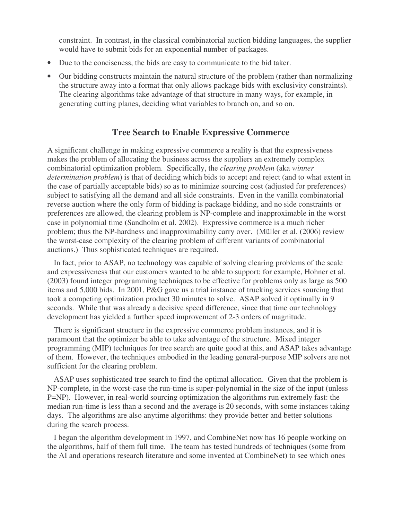constraint. In contrast, in the classical combinatorial auction bidding languages, the supplier would have to submit bids for an exponential number of packages.

- Due to the conciseness, the bids are easy to communicate to the bid taker.
- Our bidding constructs maintain the natural structure of the problem (rather than normalizing the structure away into a format that only allows package bids with exclusivity constraints). The clearing algorithms take advantage of that structure in many ways, for example, in generating cutting planes, deciding what variables to branch on, and so on.

#### **Tree Search to Enable Expressive Commerce**

A significant challenge in making expressive commerce a reality is that the expressiveness makes the problem of allocating the business across the suppliers an extremely complex combinatorial optimization problem. Specifically, the *clearing problem* (aka *winner determination problem*) is that of deciding which bids to accept and reject (and to what extent in the case of partially acceptable bids) so as to minimize sourcing cost (adjusted for preferences) subject to satisfying all the demand and all side constraints. Even in the vanilla combinatorial reverse auction where the only form of bidding is package bidding, and no side constraints or preferences are allowed, the clearing problem is NP-complete and inapproximable in the worst case in polynomial time (Sandholm et al. 2002). Expressive commerce is a much richer problem; thus the NP-hardness and inapproximability carry over. (Müller et al. (2006) review the worst-case complexity of the clearing problem of different variants of combinatorial auctions.) Thus sophisticated techniques are required.

In fact, prior to ASAP, no technology was capable of solving clearing problems of the scale and expressiveness that our customers wanted to be able to support; for example, Hohner et al. (2003) found integer programming techniques to be effective for problems only as large as 500 items and 5,000 bids. In 2001, P&G gave us a trial instance of trucking services sourcing that took a competing optimization product 30 minutes to solve. ASAP solved it optimally in 9 seconds. While that was already a decisive speed difference, since that time our technology development has yielded a further speed improvement of 2-3 orders of magnitude.

There is significant structure in the expressive commerce problem instances, and it is paramount that the optimizer be able to take advantage of the structure. Mixed integer programming (MIP) techniques for tree search are quite good at this, and ASAP takes advantage of them. However, the techniques embodied in the leading general-purpose MIP solvers are not sufficient for the clearing problem.

ASAP uses sophisticated tree search to find the optimal allocation. Given that the problem is NP-complete, in the worst-case the run-time is super-polynomial in the size of the input (unless P=NP). However, in real-world sourcing optimization the algorithms run extremely fast: the median run-time is less than a second and the average is 20 seconds, with some instances taking days. The algorithms are also anytime algorithms: they provide better and better solutions during the search process.

I began the algorithm development in 1997, and CombineNet now has 16 people working on the algorithms, half of them full time. The team has tested hundreds of techniques (some from the AI and operations research literature and some invented at CombineNet) to see which ones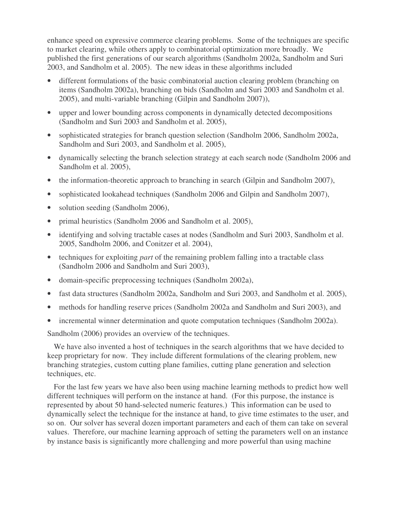enhance speed on expressive commerce clearing problems. Some of the techniques are specific to market clearing, while others apply to combinatorial optimization more broadly. We published the first generations of our search algorithms (Sandholm 2002a, Sandholm and Suri 2003, and Sandholm et al. 2005). The new ideas in these algorithms included

- different formulations of the basic combinatorial auction clearing problem (branching on items (Sandholm 2002a), branching on bids (Sandholm and Suri 2003 and Sandholm et al. 2005), and multi-variable branching (Gilpin and Sandholm 2007)),
- upper and lower bounding across components in dynamically detected decompositions (Sandholm and Suri 2003 and Sandholm et al. 2005),
- sophisticated strategies for branch question selection (Sandholm 2006, Sandholm 2002a, Sandholm and Suri 2003, and Sandholm et al. 2005),
- dynamically selecting the branch selection strategy at each search node (Sandholm 2006 and Sandholm et al. 2005),
- the information-theoretic approach to branching in search (Gilpin and Sandholm 2007),
- sophisticated lookahead techniques (Sandholm 2006 and Gilpin and Sandholm 2007),
- solution seeding (Sandholm 2006),
- primal heuristics (Sandholm 2006 and Sandholm et al. 2005),
- identifying and solving tractable cases at nodes (Sandholm and Suri 2003, Sandholm et al. 2005, Sandholm 2006, and Conitzer et al. 2004),
- techniques for exploiting *part* of the remaining problem falling into a tractable class (Sandholm 2006 and Sandholm and Suri 2003),
- domain-specific preprocessing techniques (Sandholm 2002a),
- fast data structures (Sandholm 2002a, Sandholm and Suri 2003, and Sandholm et al. 2005),
- methods for handling reserve prices (Sandholm 2002a and Sandholm and Suri 2003), and
- incremental winner determination and quote computation techniques (Sandholm 2002a).

Sandholm (2006) provides an overview of the techniques.

We have also invented a host of techniques in the search algorithms that we have decided to keep proprietary for now. They include different formulations of the clearing problem, new branching strategies, custom cutting plane families, cutting plane generation and selection techniques, etc.

For the last few years we have also been using machine learning methods to predict how well different techniques will perform on the instance at hand. (For this purpose, the instance is represented by about 50 hand-selected numeric features.) This information can be used to dynamically select the technique for the instance at hand, to give time estimates to the user, and so on. Our solver has several dozen important parameters and each of them can take on several values. Therefore, our machine learning approach of setting the parameters well on an instance by instance basis is significantly more challenging and more powerful than using machine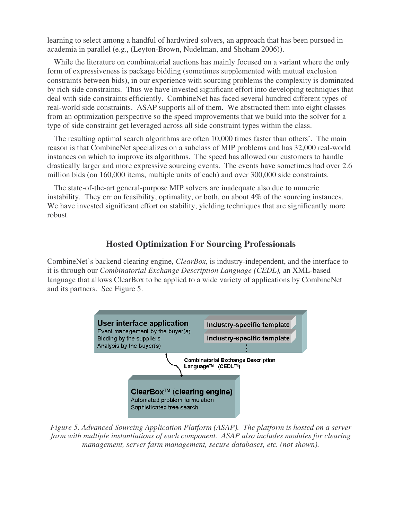learning to select among a handful of hardwired solvers, an approach that has been pursued in academia in parallel (e.g., (Leyton-Brown, Nudelman, and Shoham 2006)).

While the literature on combinatorial auctions has mainly focused on a variant where the only form of expressiveness is package bidding (sometimes supplemented with mutual exclusion constraints between bids), in our experience with sourcing problems the complexity is dominated by rich side constraints. Thus we have invested significant effort into developing techniques that deal with side constraints efficiently. CombineNet has faced several hundred different types of real-world side constraints. ASAP supports all of them. We abstracted them into eight classes from an optimization perspective so the speed improvements that we build into the solver for a type of side constraint get leveraged across all side constraint types within the class.

The resulting optimal search algorithms are often 10,000 times faster than others'. The main reason is that CombineNet specializes on a subclass of MIP problems and has 32,000 real-world instances on which to improve its algorithms. The speed has allowed our customers to handle drastically larger and more expressive sourcing events. The events have sometimes had over 2.6 million bids (on 160,000 items, multiple units of each) and over 300,000 side constraints.

The state-of-the-art general-purpose MIP solvers are inadequate also due to numeric instability. They err on feasibility, optimality, or both, on about 4% of the sourcing instances. We have invested significant effort on stability, yielding techniques that are significantly more robust.

#### **Hosted Optimization For Sourcing Professionals**

CombineNet's backend clearing engine, *ClearBox*, is industry-independent, and the interface to it is through our *Combinatorial Exchange Description Language (CEDL),* an XML-based language that allows ClearBox to be applied to a wide variety of applications by CombineNet and its partners. See Figure 5.



*Figure 5. Advanced Sourcing Application Platform (ASAP). The platform is hosted on a server farm with multiple instantiations of each component. ASAP also includes modules for clearing management, server farm management, secure databases, etc. (not shown).*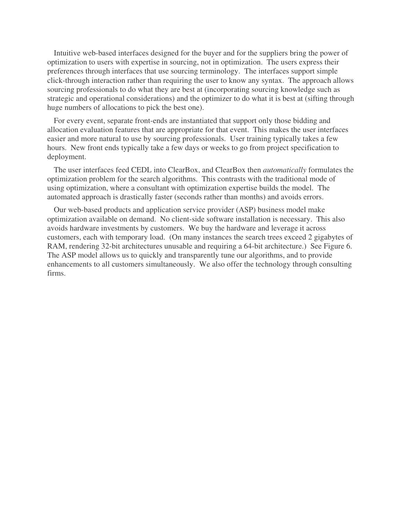Intuitive web-based interfaces designed for the buyer and for the suppliers bring the power of optimization to users with expertise in sourcing, not in optimization. The users express their preferences through interfaces that use sourcing terminology. The interfaces support simple click-through interaction rather than requiring the user to know any syntax. The approach allows sourcing professionals to do what they are best at (incorporating sourcing knowledge such as strategic and operational considerations) and the optimizer to do what it is best at (sifting through huge numbers of allocations to pick the best one).

For every event, separate front-ends are instantiated that support only those bidding and allocation evaluation features that are appropriate for that event. This makes the user interfaces easier and more natural to use by sourcing professionals. User training typically takes a few hours. New front ends typically take a few days or weeks to go from project specification to deployment.

The user interfaces feed CEDL into ClearBox, and ClearBox then *automatically* formulates the optimization problem for the search algorithms. This contrasts with the traditional mode of using optimization, where a consultant with optimization expertise builds the model. The automated approach is drastically faster (seconds rather than months) and avoids errors.

Our web-based products and application service provider (ASP) business model make optimization available on demand. No client-side software installation is necessary. This also avoids hardware investments by customers. We buy the hardware and leverage it across customers, each with temporary load. (On many instances the search trees exceed 2 gigabytes of RAM, rendering 32-bit architectures unusable and requiring a 64-bit architecture.) See Figure 6. The ASP model allows us to quickly and transparently tune our algorithms, and to provide enhancements to all customers simultaneously. We also offer the technology through consulting firms.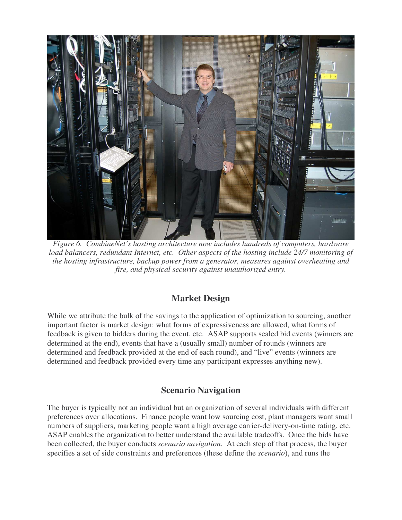

*Figure 6. CombineNet's hosting architecture now includes hundreds of computers, hardware load balancers, redundant Internet, etc. Other aspects of the hosting include 24/7 monitoring of the hosting infrastructure, backup power from a generator, measures against overheating and fire, and physical security against unauthorized entry.*

# **Market Design**

While we attribute the bulk of the savings to the application of optimization to sourcing, another important factor is market design: what forms of expressiveness are allowed, what forms of feedback is given to bidders during the event, etc. ASAP supports sealed bid events (winners are determined at the end), events that have a (usually small) number of rounds (winners are determined and feedback provided at the end of each round), and "live" events (winners are determined and feedback provided every time any participant expresses anything new).

# **Scenario Navigation**

The buyer is typically not an individual but an organization of several individuals with different preferences over allocations. Finance people want low sourcing cost, plant managers want small numbers of suppliers, marketing people want a high average carrier-delivery-on-time rating, etc. ASAP enables the organization to better understand the available tradeoffs. Once the bids have been collected, the buyer conducts *scenario navigation*. At each step of that process, the buyer specifies a set of side constraints and preferences (these define the *scenario*), and runs the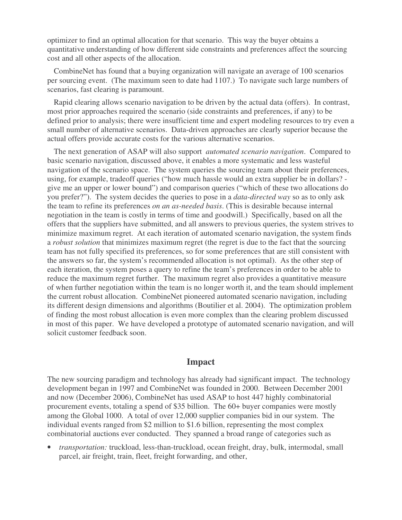optimizer to find an optimal allocation for that scenario. This way the buyer obtains a quantitative understanding of how different side constraints and preferences affect the sourcing cost and all other aspects of the allocation.

CombineNet has found that a buying organization will navigate an average of 100 scenarios per sourcing event. (The maximum seen to date had 1107.) To navigate such large numbers of scenarios, fast clearing is paramount.

Rapid clearing allows scenario navigation to be driven by the actual data (offers). In contrast, most prior approaches required the scenario (side constraints and preferences, if any) to be defined prior to analysis; there were insufficient time and expert modeling resources to try even a small number of alternative scenarios. Data-driven approaches are clearly superior because the actual offers provide accurate costs for the various alternative scenarios.

The next generation of ASAP will also support *automated scenario navigation*. Compared to basic scenario navigation, discussed above, it enables a more systematic and less wasteful navigation of the scenario space. The system queries the sourcing team about their preferences, using, for example, tradeoff queries ("how much hassle would an extra supplier be in dollars? give me an upper or lower bound") and comparison queries ("which of these two allocations do you prefer?"). The system decides the queries to pose in a *data-directed way* so as to only ask the team to refine its preferences *on an as-needed basis*. (This is desirable because internal negotiation in the team is costly in terms of time and goodwill.) Specifically, based on all the offers that the suppliers have submitted, and all answers to previous queries, the system strives to minimize maximum regret. At each iteration of automated scenario navigation, the system finds a *robust solution* that minimizes maximum regret (the regret is due to the fact that the sourcing team has not fully specified its preferences, so for some preferences that are still consistent with the answers so far, the system's recommended allocation is not optimal). As the other step of each iteration, the system poses a query to refine the team's preferences in order to be able to reduce the maximum regret further. The maximum regret also provides a quantitative measure of when further negotiation within the team is no longer worth it, and the team should implement the current robust allocation. CombineNet pioneered automated scenario navigation, including its different design dimensions and algorithms (Boutilier et al. 2004). The optimization problem of finding the most robust allocation is even more complex than the clearing problem discussed in most of this paper. We have developed a prototype of automated scenario navigation, and will solicit customer feedback soon.

#### **Impact**

The new sourcing paradigm and technology has already had significant impact. The technology development began in 1997 and CombineNet was founded in 2000. Between December 2001 and now (December 2006), CombineNet has used ASAP to host 447 highly combinatorial procurement events, totaling a spend of \$35 billion. The 60+ buyer companies were mostly among the Global 1000. A total of over 12,000 supplier companies bid in our system. The individual events ranged from \$2 million to \$1.6 billion, representing the most complex combinatorial auctions ever conducted. They spanned a broad range of categories such as

• *transportation:* truckload, less-than-truckload, ocean freight, dray, bulk, intermodal, small parcel, air freight, train, fleet, freight forwarding, and other,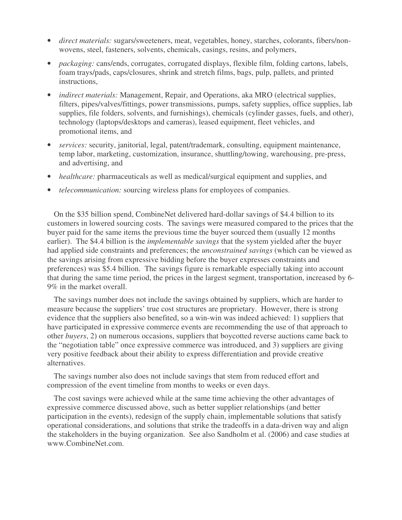- *direct materials:* sugars/sweeteners, meat, vegetables, honey, starches, colorants, fibers/nonwovens, steel, fasteners, solvents, chemicals, casings, resins, and polymers,
- *packaging:* cans/ends, corrugates, corrugated displays, flexible film, folding cartons, labels, foam trays/pads, caps/closures, shrink and stretch films, bags, pulp, pallets, and printed instructions,
- *indirect materials:* Management, Repair, and Operations, aka MRO (electrical supplies, filters, pipes/valves/fittings, power transmissions, pumps, safety supplies, office supplies, lab supplies, file folders, solvents, and furnishings), chemicals (cylinder gasses, fuels, and other), technology (laptops/desktops and cameras), leased equipment, fleet vehicles, and promotional items, and
- *services:* security, janitorial, legal, patent/trademark, consulting, equipment maintenance, temp labor, marketing, customization, insurance, shuttling/towing, warehousing, pre-press, and advertising, and
- *healthcare:* pharmaceuticals as well as medical/surgical equipment and supplies, and
- *telecommunication:* sourcing wireless plans for employees of companies.

On the \$35 billion spend, CombineNet delivered hard-dollar savings of \$4.4 billion to its customers in lowered sourcing costs. The savings were measured compared to the prices that the buyer paid for the same items the previous time the buyer sourced them (usually 12 months earlier). The \$4.4 billion is the *implementable savings* that the system yielded after the buyer had applied side constraints and preferences; the *unconstrained savings* (which can be viewed as the savings arising from expressive bidding before the buyer expresses constraints and preferences) was \$5.4 billion. The savings figure is remarkable especially taking into account that during the same time period, the prices in the largest segment, transportation, increased by 6- 9% in the market overall.

The savings number does not include the savings obtained by suppliers, which are harder to measure because the suppliers' true cost structures are proprietary. However, there is strong evidence that the suppliers also benefited, so a win-win was indeed achieved: 1) suppliers that have participated in expressive commerce events are recommending the use of that approach to other *buyers*, 2) on numerous occasions, suppliers that boycotted reverse auctions came back to the "negotiation table" once expressive commerce was introduced, and 3) suppliers are giving very positive feedback about their ability to express differentiation and provide creative alternatives.

The savings number also does not include savings that stem from reduced effort and compression of the event timeline from months to weeks or even days.

The cost savings were achieved while at the same time achieving the other advantages of expressive commerce discussed above, such as better supplier relationships (and better participation in the events), redesign of the supply chain, implementable solutions that satisfy operational considerations, and solutions that strike the tradeoffs in a data-driven way and align the stakeholders in the buying organization. See also Sandholm et al. (2006) and case studies at www.CombineNet.com.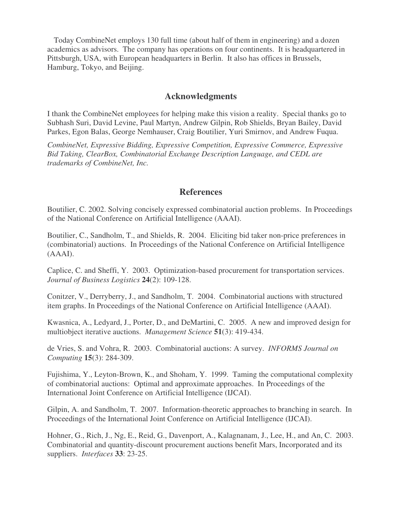Today CombineNet employs 130 full time (about half of them in engineering) and a dozen academics as advisors. The company has operations on four continents. It is headquartered in Pittsburgh, USA, with European headquarters in Berlin. It also has offices in Brussels, Hamburg, Tokyo, and Beijing.

#### **Acknowledgments**

I thank the CombineNet employees for helping make this vision a reality. Special thanks go to Subhash Suri, David Levine, Paul Martyn, Andrew Gilpin, Rob Shields, Bryan Bailey, David Parkes, Egon Balas, George Nemhauser, Craig Boutilier, Yuri Smirnov, and Andrew Fuqua.

*CombineNet, Expressive Bidding, Expressive Competition, Expressive Commerce, Expressive Bid Taking, ClearBox, Combinatorial Exchange Description Language, and CEDL are trademarks of CombineNet, Inc.*

#### **References**

Boutilier, C. 2002. Solving concisely expressed combinatorial auction problems. In Proceedings of the National Conference on Artificial Intelligence (AAAI).

Boutilier, C., Sandholm, T., and Shields, R. 2004. Eliciting bid taker non-price preferences in (combinatorial) auctions. In Proceedings of the National Conference on Artificial Intelligence (AAAI).

Caplice, C. and Sheffi, Y. 2003. Optimization-based procurement for transportation services. *Journal of Business Logistics* **24**(2): 109-128.

Conitzer, V., Derryberry, J., and Sandholm, T. 2004. Combinatorial auctions with structured item graphs. In Proceedings of the National Conference on Artificial Intelligence (AAAI).

Kwasnica, A., Ledyard, J., Porter, D., and DeMartini, C. 2005. A new and improved design for multiobject iterative auctions. *Management Science* **51**(3): 419-434.

de Vries, S. and Vohra, R. 2003. Combinatorial auctions: A survey. *INFORMS Journal on Computing* **15**(3): 284-309.

Fujishima, Y., Leyton-Brown, K., and Shoham, Y. 1999. Taming the computational complexity of combinatorial auctions: Optimal and approximate approaches. In Proceedings of the International Joint Conference on Artificial Intelligence (IJCAI).

Gilpin, A. and Sandholm, T. 2007. Information-theoretic approaches to branching in search. In Proceedings of the International Joint Conference on Artificial Intelligence (IJCAI).

Hohner, G., Rich, J., Ng, E., Reid, G., Davenport, A., Kalagnanam, J., Lee, H., and An, C. 2003. Combinatorial and quantity-discount procurement auctions benefit Mars, Incorporated and its suppliers. *Interfaces* **33**: 23-25.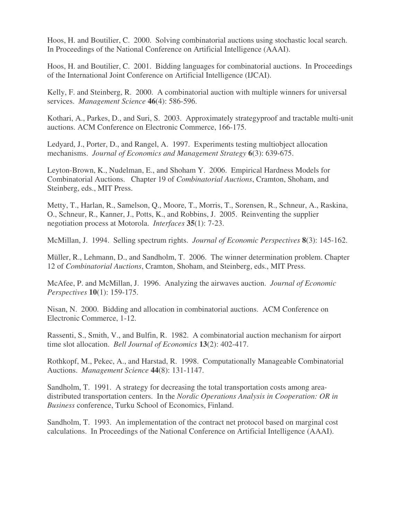Hoos, H. and Boutilier, C. 2000. Solving combinatorial auctions using stochastic local search. In Proceedings of the National Conference on Artificial Intelligence (AAAI).

Hoos, H. and Boutilier, C. 2001. Bidding languages for combinatorial auctions. In Proceedings of the International Joint Conference on Artificial Intelligence (IJCAI).

Kelly, F. and Steinberg, R. 2000. A combinatorial auction with multiple winners for universal services. *Management Science* **46**(4): 586-596.

Kothari, A., Parkes, D., and Suri, S. 2003. Approximately strategyproof and tractable multi-unit auctions. ACM Conference on Electronic Commerce, 166-175.

Ledyard, J., Porter, D., and Rangel, A. 1997. Experiments testing multiobject allocation mechanisms. *Journal of Economics and Management Strategy* **6**(3): 639-675.

Leyton-Brown, K., Nudelman, E., and Shoham Y. 2006. Empirical Hardness Models for Combinatorial Auctions. Chapter 19 of *Combinatorial Auctions*, Cramton, Shoham, and Steinberg, eds., MIT Press.

Metty, T., Harlan, R., Samelson, Q., Moore, T., Morris, T., Sorensen, R., Schneur, A., Raskina, O., Schneur, R., Kanner, J., Potts, K., and Robbins, J. 2005. Reinventing the supplier negotiation process at Motorola. *Interfaces* **35**(1): 7-23.

McMillan, J. 1994. Selling spectrum rights. *Journal of Economic Perspectives* **8**(3): 145-162.

Müller, R., Lehmann, D., and Sandholm, T. 2006. The winner determination problem. Chapter 12 of *Combinatorial Auctions*, Cramton, Shoham, and Steinberg, eds., MIT Press.

McAfee, P. and McMillan, J. 1996. Analyzing the airwaves auction. *Journal of Economic Perspectives* **10**(1): 159-175.

Nisan, N. 2000. Bidding and allocation in combinatorial auctions. ACM Conference on Electronic Commerce, 1-12.

Rassenti, S., Smith, V., and Bulfin, R. 1982. A combinatorial auction mechanism for airport time slot allocation. *Bell Journal of Economics* **13**(2): 402-417.

Rothkopf, M., Pekec, A., and Harstad, R. 1998. Computationally Manageable Combinatorial Auctions. *Management Science* **44**(8): 131-1147.

Sandholm, T. 1991. A strategy for decreasing the total transportation costs among areadistributed transportation centers. In the *Nordic Operations Analysis in Cooperation: OR in Business* conference, Turku School of Economics, Finland.

Sandholm, T. 1993. An implementation of the contract net protocol based on marginal cost calculations. In Proceedings of the National Conference on Artificial Intelligence (AAAI).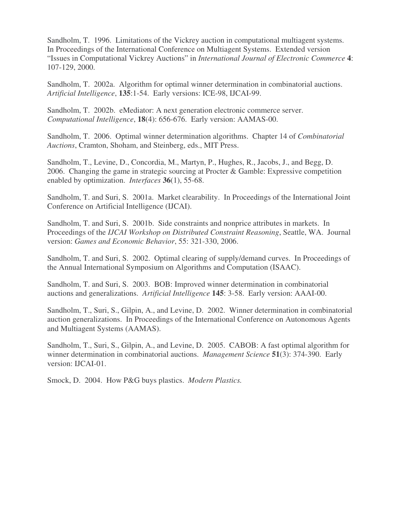Sandholm, T. 1996. Limitations of the Vickrey auction in computational multiagent systems. In Proceedings of the International Conference on Multiagent Systems. Extended version "Issues in Computational Vickrey Auctions" in *International Journal of Electronic Commerce* **4**: 107-129, 2000.

Sandholm, T. 2002a. Algorithm for optimal winner determination in combinatorial auctions. *Artificial Intelligence*, **135**:1-54. Early versions: ICE-98, IJCAI-99.

Sandholm, T. 2002b. eMediator: A next generation electronic commerce server. *Computational Intelligence*, **18**(4): 656-676. Early version: AAMAS-00.

Sandholm, T. 2006. Optimal winner determination algorithms. Chapter 14 of *Combinatorial Auctions*, Cramton, Shoham, and Steinberg, eds., MIT Press.

Sandholm, T., Levine, D., Concordia, M., Martyn, P., Hughes, R., Jacobs, J., and Begg, D. 2006. Changing the game in strategic sourcing at Procter & Gamble: Expressive competition enabled by optimization. *Interfaces* **36**(1), 55-68.

Sandholm, T. and Suri, S. 2001a. Market clearability. In Proceedings of the International Joint Conference on Artificial Intelligence (IJCAI).

Sandholm, T. and Suri, S. 2001b. Side constraints and nonprice attributes in markets. In Proceedings of the *IJCAI Workshop on Distributed Constraint Reasoning*, Seattle, WA. Journal version: *Games and Economic Behavior*, 55: 321-330, 2006.

Sandholm, T. and Suri, S. 2002. Optimal clearing of supply/demand curves. In Proceedings of the Annual International Symposium on Algorithms and Computation (ISAAC).

Sandholm, T. and Suri, S. 2003. BOB: Improved winner determination in combinatorial auctions and generalizations. *Artificial Intelligence* **145**: 3-58. Early version: AAAI-00.

Sandholm, T., Suri, S., Gilpin, A., and Levine, D. 2002. Winner determination in combinatorial auction generalizations. In Proceedings of the International Conference on Autonomous Agents and Multiagent Systems (AAMAS).

Sandholm, T., Suri, S., Gilpin, A., and Levine, D. 2005. CABOB: A fast optimal algorithm for winner determination in combinatorial auctions. *Management Science* **51**(3): 374-390. Early version: IJCAI-01.

Smock, D. 2004. How P&G buys plastics. *Modern Plastics.*